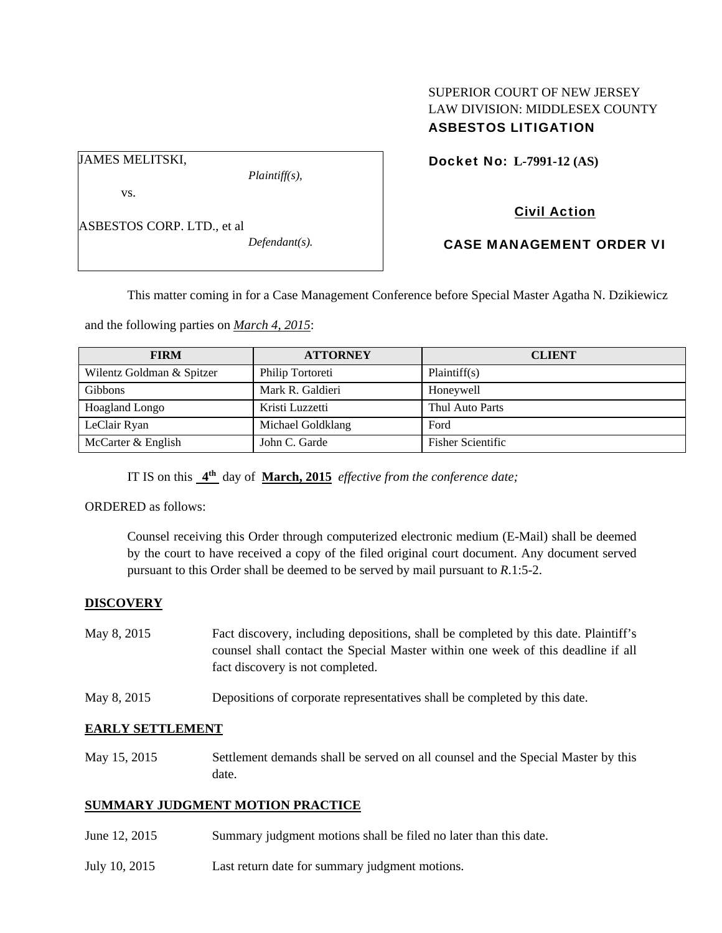### SUPERIOR COURT OF NEW JERSEY LAW DIVISION: MIDDLESEX COUNTY ASBESTOS LITIGATION

JAMES MELITSKI,

*Plaintiff(s),* 

vs.

ASBESTOS CORP. LTD., et al

*Defendant(s).* 

Docket No: **L-7991-12 (AS)** 

# Civil Action

# CASE MANAGEMENT ORDER VI

This matter coming in for a Case Management Conference before Special Master Agatha N. Dzikiewicz

and the following parties on *March 4, 2015*:

| <b>FIRM</b>               | <b>ATTORNEY</b>   | <b>CLIENT</b>            |
|---------------------------|-------------------|--------------------------|
| Wilentz Goldman & Spitzer | Philip Tortoreti  | Plaintiff(s)             |
| <b>Gibbons</b>            | Mark R. Galdieri  | Honeywell                |
| Hoagland Longo            | Kristi Luzzetti   | Thul Auto Parts          |
| LeClair Ryan              | Michael Goldklang | Ford                     |
| McCarter & English        | John C. Garde     | <b>Fisher Scientific</b> |

IT IS on this **4th** day of **March, 2015** *effective from the conference date;*

ORDERED as follows:

Counsel receiving this Order through computerized electronic medium (E-Mail) shall be deemed by the court to have received a copy of the filed original court document. Any document served pursuant to this Order shall be deemed to be served by mail pursuant to *R*.1:5-2.

# **DISCOVERY**

| May 8, 2015 | Fact discovery, including depositions, shall be completed by this date. Plaintiff's |
|-------------|-------------------------------------------------------------------------------------|
|             | counsel shall contact the Special Master within one week of this deadline if all    |
|             | fact discovery is not completed.                                                    |

May 8, 2015 Depositions of corporate representatives shall be completed by this date.

# **EARLY SETTLEMENT**

May 15, 2015 Settlement demands shall be served on all counsel and the Special Master by this date.

### **SUMMARY JUDGMENT MOTION PRACTICE**

- June 12, 2015 Summary judgment motions shall be filed no later than this date.
- July 10, 2015 Last return date for summary judgment motions.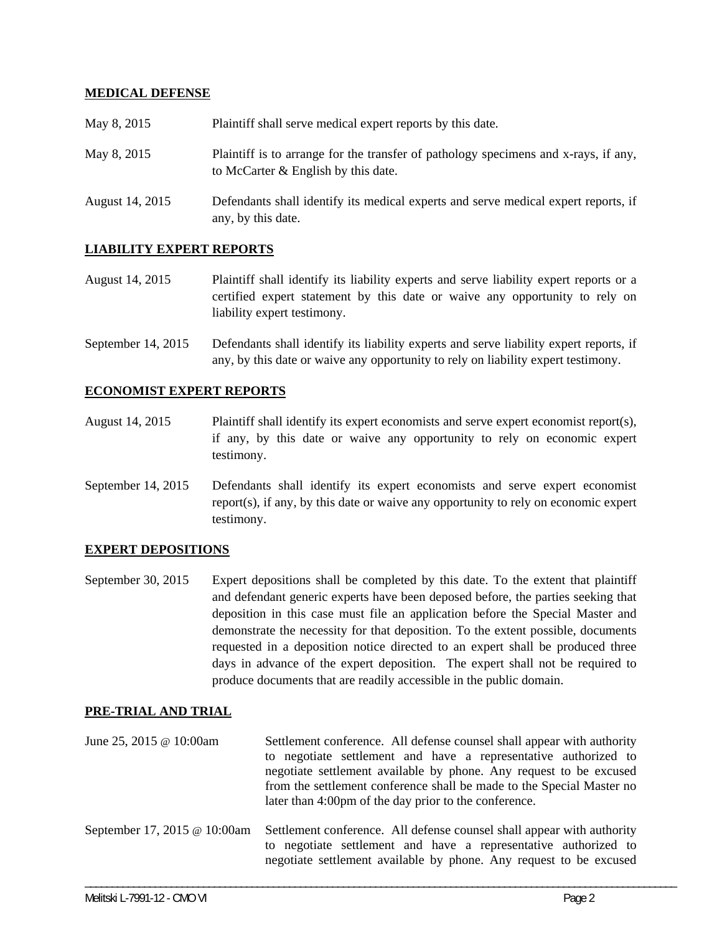### **MEDICAL DEFENSE**

| May 8, 2015     | Plaintiff shall serve medical expert reports by this date.                                                                 |
|-----------------|----------------------------------------------------------------------------------------------------------------------------|
| May 8, 2015     | Plaintiff is to arrange for the transfer of pathology specimens and x-rays, if any,<br>to McCarter & English by this date. |
| August 14, 2015 | Defendants shall identify its medical experts and serve medical expert reports, if<br>any, by this date.                   |

### **LIABILITY EXPERT REPORTS**

- August 14, 2015 Plaintiff shall identify its liability experts and serve liability expert reports or a certified expert statement by this date or waive any opportunity to rely on liability expert testimony.
- September 14, 2015 Defendants shall identify its liability experts and serve liability expert reports, if any, by this date or waive any opportunity to rely on liability expert testimony.

#### **ECONOMIST EXPERT REPORTS**

- August 14, 2015 Plaintiff shall identify its expert economists and serve expert economist report(s), if any, by this date or waive any opportunity to rely on economic expert testimony.
- September 14, 2015 Defendants shall identify its expert economists and serve expert economist report(s), if any, by this date or waive any opportunity to rely on economic expert testimony.

#### **EXPERT DEPOSITIONS**

September 30, 2015 Expert depositions shall be completed by this date. To the extent that plaintiff and defendant generic experts have been deposed before, the parties seeking that deposition in this case must file an application before the Special Master and demonstrate the necessity for that deposition. To the extent possible, documents requested in a deposition notice directed to an expert shall be produced three days in advance of the expert deposition. The expert shall not be required to produce documents that are readily accessible in the public domain.

#### **PRE-TRIAL AND TRIAL**

June 25, 2015 @ 10:00am Settlement conference. All defense counsel shall appear with authority to negotiate settlement and have a representative authorized to negotiate settlement available by phone. Any request to be excused from the settlement conference shall be made to the Special Master no later than 4:00pm of the day prior to the conference. September 17, 2015 @ 10:00am Settlement conference. All defense counsel shall appear with authority to negotiate settlement and have a representative authorized to negotiate settlement available by phone. Any request to be excused

\_\_\_\_\_\_\_\_\_\_\_\_\_\_\_\_\_\_\_\_\_\_\_\_\_\_\_\_\_\_\_\_\_\_\_\_\_\_\_\_\_\_\_\_\_\_\_\_\_\_\_\_\_\_\_\_\_\_\_\_\_\_\_\_\_\_\_\_\_\_\_\_\_\_\_\_\_\_\_\_\_\_\_\_\_\_\_\_\_\_\_\_\_\_\_\_\_\_\_\_\_\_\_\_\_\_\_\_\_\_